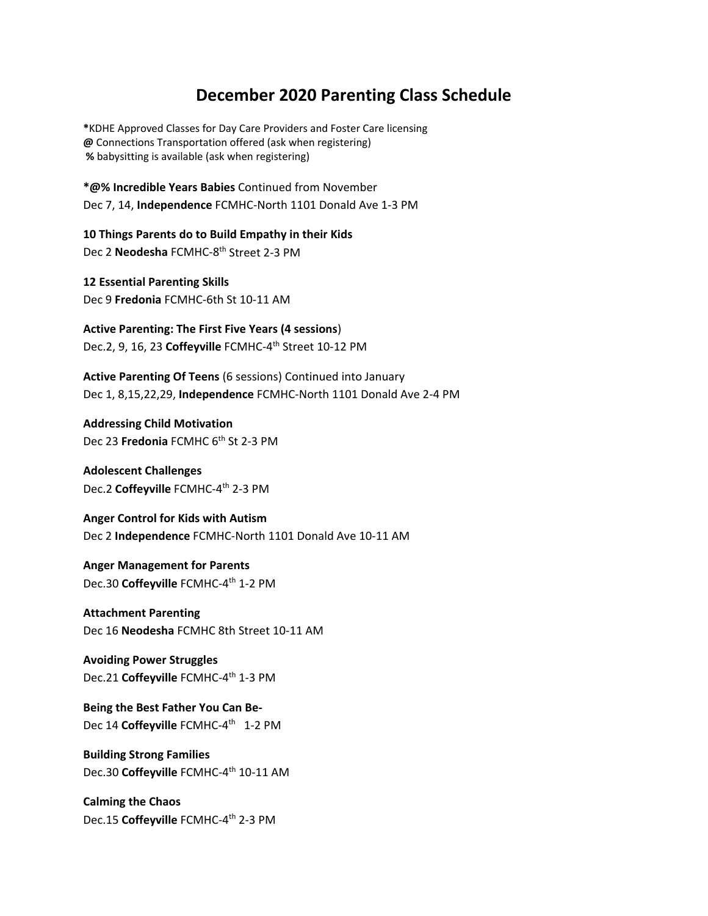## **December 2020 Parenting Class Schedule**

**\***KDHE Approved Classes for Day Care Providers and Foster Care licensing **@** Connections Transportation offered (ask when registering)  **%** babysitting is available (ask when registering)

**\*@% Incredible Years Babies** Continued from November Dec 7, 14, **Independence** FCMHC-North 1101 Donald Ave 1-3 PM

**10 Things Parents do to Build Empathy in their Kids**  Dec 2 **Neodesha** FCMHC-8th Street 2-3 PM

**12 Essential Parenting Skills** Dec 9 **Fredonia** FCMHC-6th St 10-11 AM

**Active Parenting: The First Five Years (4 sessions**) Dec.2, 9, 16, 23 **Coffeyville** FCMHC-4th Street 10-12 PM

**Active Parenting Of Teens** (6 sessions) Continued into January Dec 1, 8,15,22,29, **Independence** FCMHC-North 1101 Donald Ave 2-4 PM

**Addressing Child Motivation** Dec 23 **Fredonia** FCMHC 6<sup>th</sup> St 2-3 PM

**Adolescent Challenges** Dec.2 **Coffeyville** FCMHC-4th 2-3 PM

**Anger Control for Kids with Autism**  Dec 2 **Independence** FCMHC-North 1101 Donald Ave 10-11 AM

**Anger Management for Parents** Dec.30 Coffeyville FCMHC-4<sup>th</sup> 1-2 PM

**Attachment Parenting**  Dec 16 **Neodesha** FCMHC 8th Street 10-11 AM

**Avoiding Power Struggles** Dec.21 Coffeyville FCMHC-4<sup>th</sup> 1-3 PM

**Being the Best Father You Can Be-**Dec 14 Coffeyville FCMHC-4<sup>th</sup> 1-2 PM

**Building Strong Families** Dec.30 Coffeyville FCMHC-4<sup>th</sup> 10-11 AM

**Calming the Chaos** Dec.15 Coffeyville FCMHC-4<sup>th</sup> 2-3 PM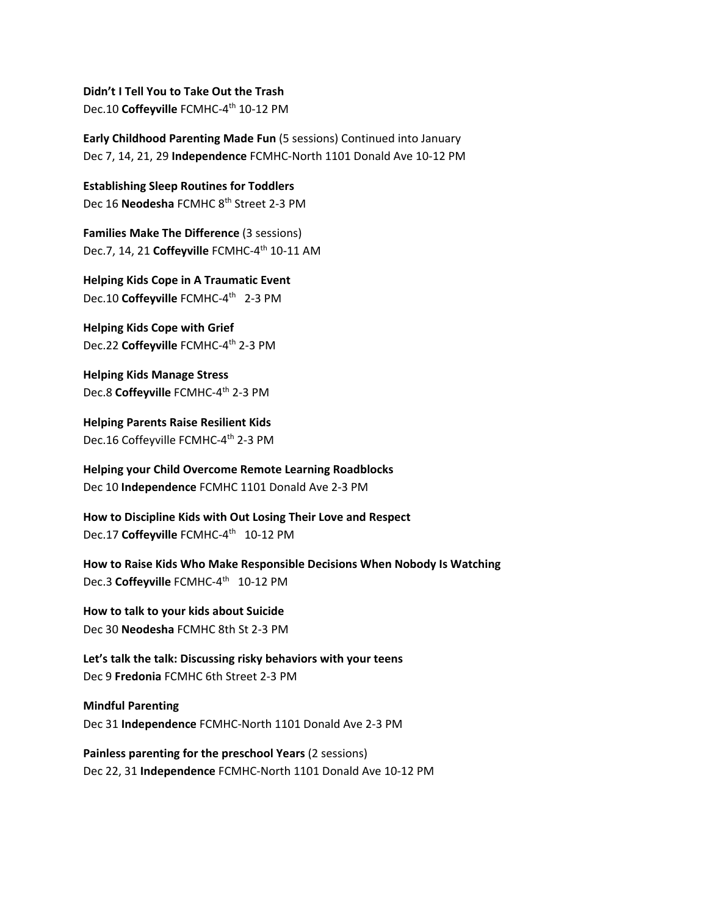**Didn't I Tell You to Take Out the Trash** Dec.10 Coffeyville FCMHC-4<sup>th</sup> 10-12 PM

**Early Childhood Parenting Made Fun** (5 sessions) Continued into January Dec 7, 14, 21, 29 **Independence** FCMHC-North 1101 Donald Ave 10-12 PM

**Establishing Sleep Routines for Toddlers** Dec 16 **Neodesha** FCMHC 8th Street 2-3 PM

**Families Make The Difference** (3 sessions) Dec.7, 14, 21 **Coffeyville** FCMHC-4th 10-11 AM

**Helping Kids Cope in A Traumatic Event** Dec.10 Coffeyville FCMHC-4<sup>th</sup> 2-3 PM

**Helping Kids Cope with Grief** Dec.22 **Coffeyville** FCMHC-4th 2-3 PM

**Helping Kids Manage Stress** Dec.8 Coffeyville FCMHC-4<sup>th</sup> 2-3 PM

**Helping Parents Raise Resilient Kids** Dec.16 Coffeyville FCMHC-4<sup>th</sup> 2-3 PM

**Helping your Child Overcome Remote Learning Roadblocks** Dec 10 **Independence** FCMHC 1101 Donald Ave 2-3 PM

**How to Discipline Kids with Out Losing Their Love and Respect** Dec.17 Coffeyville FCMHC-4<sup>th</sup> 10-12 PM

**How to Raise Kids Who Make Responsible Decisions When Nobody Is Watching** Dec.3 Coffeyville FCMHC-4<sup>th</sup> 10-12 PM

**How to talk to your kids about Suicide** Dec 30 **Neodesha** FCMHC 8th St 2-3 PM

**Let's talk the talk: Discussing risky behaviors with your teens** Dec 9 **Fredonia** FCMHC 6th Street 2-3 PM

**Mindful Parenting**  Dec 31 **Independence** FCMHC-North 1101 Donald Ave 2-3 PM

**Painless parenting for the preschool Years** (2 sessions) Dec 22, 31 **Independence** FCMHC-North 1101 Donald Ave 10-12 PM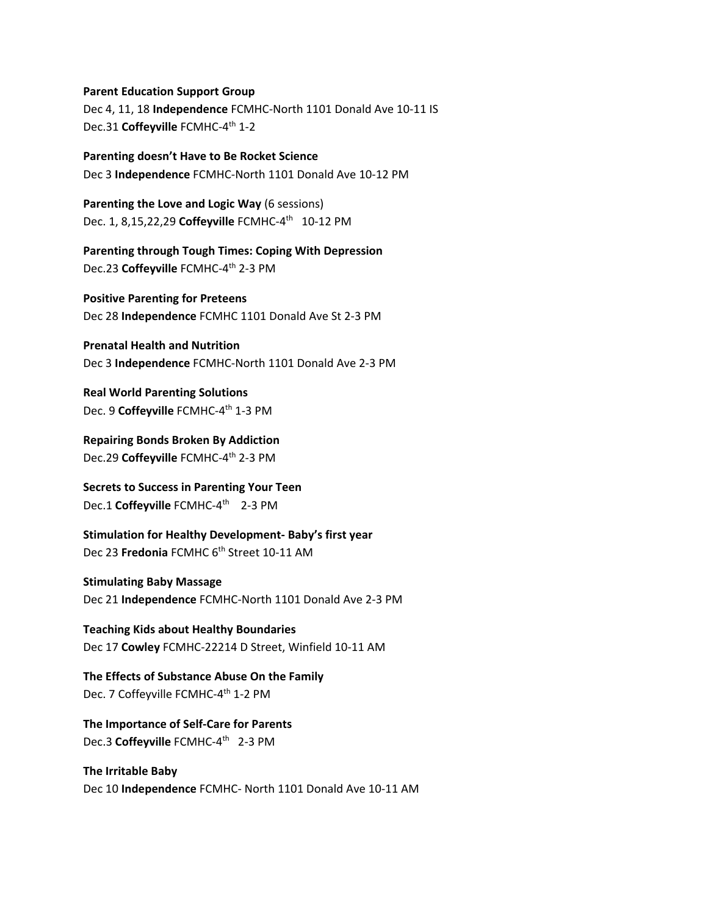**Parent Education Support Group**

Dec 4, 11, 18 **Independence** FCMHC-North 1101 Donald Ave 10-11 IS Dec.31 Coffeyville FCMHC-4<sup>th</sup> 1-2

## **Parenting doesn't Have to Be Rocket Science**

Dec 3 **Independence** FCMHC-North 1101 Donald Ave 10-12 PM

**Parenting the Love and Logic Way** (6 sessions) Dec. 1, 8,15,22,29 **Coffeyville** FCMHC-4th 10-12 PM

**Parenting through Tough Times: Coping With Depression** Dec.23 **Coffeyville** FCMHC-4th 2-3 PM

**Positive Parenting for Preteens** Dec 28 **Independence** FCMHC 1101 Donald Ave St 2-3 PM

**Prenatal Health and Nutrition**  Dec 3 **Independence** FCMHC-North 1101 Donald Ave 2-3 PM

**Real World Parenting Solutions**  Dec. 9 **Coffeyville** FCMHC-4th 1-3 PM

**Repairing Bonds Broken By Addiction** Dec.29 **Coffeyville** FCMHC-4th 2-3 PM

**Secrets to Success in Parenting Your Teen** Dec.1 Coffeyville FCMHC-4<sup>th</sup> 2-3 PM

**Stimulation for Healthy Development- Baby's first year**  Dec 23 **Fredonia** FCMHC 6th Street 10-11 AM

## **Stimulating Baby Massage**

Dec 21 **Independence** FCMHC-North 1101 Donald Ave 2-3 PM

**Teaching Kids about Healthy Boundaries** Dec 17 **Cowley** FCMHC-22214 D Street, Winfield 10-11 AM

**The Effects of Substance Abuse On the Family**  Dec. 7 Coffeyville FCMHC-4<sup>th</sup> 1-2 PM

**The Importance of Self-Care for Parents** Dec.3 Coffeyville FCMHC-4<sup>th</sup> 2-3 PM

**The Irritable Baby**  Dec 10 **Independence** FCMHC- North 1101 Donald Ave 10-11 AM